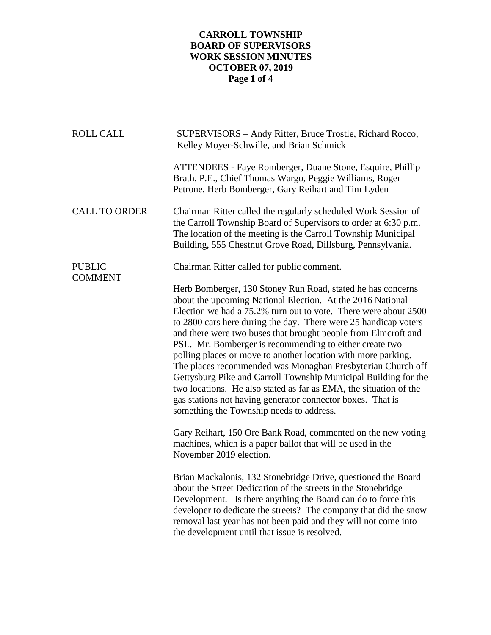## **CARROLL TOWNSHIP BOARD OF SUPERVISORS WORK SESSION MINUTES OCTOBER 07, 2019 Page 1 of 4**

| <b>ROLL CALL</b>                | SUPERVISORS - Andy Ritter, Bruce Trostle, Richard Rocco,<br>Kelley Moyer-Schwille, and Brian Schmick                                                                                                                                                                                                                                                                                                                                                                                                                                                                                                                                                                                                                                                                           |
|---------------------------------|--------------------------------------------------------------------------------------------------------------------------------------------------------------------------------------------------------------------------------------------------------------------------------------------------------------------------------------------------------------------------------------------------------------------------------------------------------------------------------------------------------------------------------------------------------------------------------------------------------------------------------------------------------------------------------------------------------------------------------------------------------------------------------|
|                                 | ATTENDEES - Faye Romberger, Duane Stone, Esquire, Phillip<br>Brath, P.E., Chief Thomas Wargo, Peggie Williams, Roger<br>Petrone, Herb Bomberger, Gary Reihart and Tim Lyden                                                                                                                                                                                                                                                                                                                                                                                                                                                                                                                                                                                                    |
| <b>CALL TO ORDER</b>            | Chairman Ritter called the regularly scheduled Work Session of<br>the Carroll Township Board of Supervisors to order at 6:30 p.m.<br>The location of the meeting is the Carroll Township Municipal<br>Building, 555 Chestnut Grove Road, Dillsburg, Pennsylvania.                                                                                                                                                                                                                                                                                                                                                                                                                                                                                                              |
| <b>PUBLIC</b><br><b>COMMENT</b> | Chairman Ritter called for public comment.                                                                                                                                                                                                                                                                                                                                                                                                                                                                                                                                                                                                                                                                                                                                     |
|                                 | Herb Bomberger, 130 Stoney Run Road, stated he has concerns<br>about the upcoming National Election. At the 2016 National<br>Election we had a 75.2% turn out to vote. There were about 2500<br>to 2800 cars here during the day. There were 25 handicap voters<br>and there were two buses that brought people from Elmcroft and<br>PSL. Mr. Bomberger is recommending to either create two<br>polling places or move to another location with more parking.<br>The places recommended was Monaghan Presbyterian Church off<br>Gettysburg Pike and Carroll Township Municipal Building for the<br>two locations. He also stated as far as EMA, the situation of the<br>gas stations not having generator connector boxes. That is<br>something the Township needs to address. |
|                                 | Gary Reihart, 150 Ore Bank Road, commented on the new voting<br>machines, which is a paper ballot that will be used in the<br>November 2019 election.                                                                                                                                                                                                                                                                                                                                                                                                                                                                                                                                                                                                                          |
|                                 | Brian Mackalonis, 132 Stonebridge Drive, questioned the Board<br>about the Street Dedication of the streets in the Stonebridge<br>Development. Is there anything the Board can do to force this<br>developer to dedicate the streets? The company that did the snow<br>removal last year has not been paid and they will not come into<br>the development until that issue is resolved.                                                                                                                                                                                                                                                                                                                                                                                        |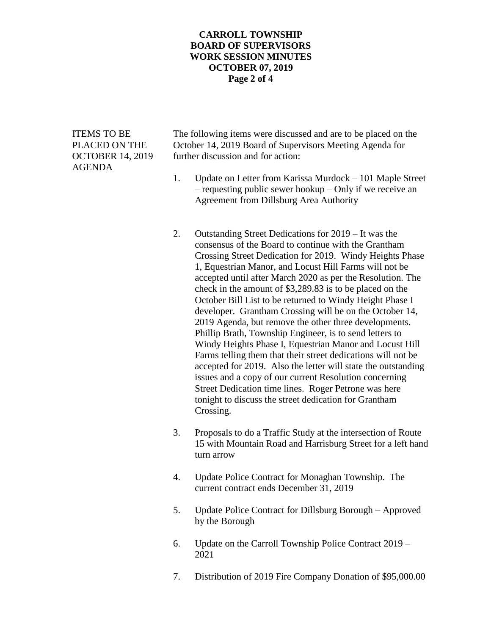## **CARROLL TOWNSHIP BOARD OF SUPERVISORS WORK SESSION MINUTES OCTOBER 07, 2019 Page 2 of 4**

AGENDA

ITEMS TO BE The following items were discussed and are to be placed on the PLACED ON THE October 14, 2019 Board of Supervisors Meeting Agenda for OCTOBER 14, 2019 further discussion and for action:

- 1. Update on Letter from Karissa Murdock 101 Maple Street – requesting public sewer hookup – Only if we receive an Agreement from Dillsburg Area Authority
- 2. Outstanding Street Dedications for 2019 It was the consensus of the Board to continue with the Grantham Crossing Street Dedication for 2019. Windy Heights Phase 1, Equestrian Manor, and Locust Hill Farms will not be accepted until after March 2020 as per the Resolution. The check in the amount of \$3,289.83 is to be placed on the October Bill List to be returned to Windy Height Phase I developer. Grantham Crossing will be on the October 14, 2019 Agenda, but remove the other three developments. Phillip Brath, Township Engineer, is to send letters to Windy Heights Phase I, Equestrian Manor and Locust Hill Farms telling them that their street dedications will not be accepted for 2019. Also the letter will state the outstanding issues and a copy of our current Resolution concerning Street Dedication time lines. Roger Petrone was here tonight to discuss the street dedication for Grantham Crossing.
- 3. Proposals to do a Traffic Study at the intersection of Route 15 with Mountain Road and Harrisburg Street for a left hand turn arrow
- 4. Update Police Contract for Monaghan Township. The current contract ends December 31, 2019
- 5. Update Police Contract for Dillsburg Borough Approved by the Borough
- 6. Update on the Carroll Township Police Contract 2019 2021
- 7. Distribution of 2019 Fire Company Donation of \$95,000.00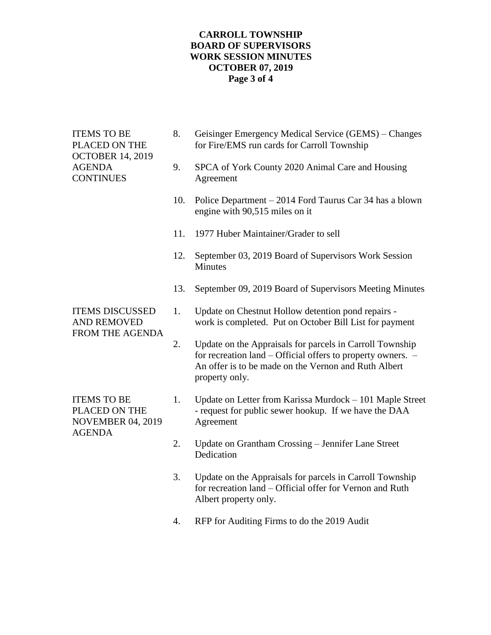## **CARROLL TOWNSHIP BOARD OF SUPERVISORS WORK SESSION MINUTES OCTOBER 07, 2019 Page 3 of 4**

| Geisinger Emergency Medical Service (GEMS) – Changes<br>SPCA of York County 2020 Animal Care and Housing<br>Police Department – 2014 Ford Taurus Car 34 has a blown<br>September 03, 2019 Board of Supervisors Work Session |
|-----------------------------------------------------------------------------------------------------------------------------------------------------------------------------------------------------------------------------|
|                                                                                                                                                                                                                             |
|                                                                                                                                                                                                                             |
|                                                                                                                                                                                                                             |
|                                                                                                                                                                                                                             |
|                                                                                                                                                                                                                             |
| September 09, 2019 Board of Supervisors Meeting Minutes                                                                                                                                                                     |
| Update on Chestnut Hollow detention pond repairs -<br>work is completed. Put on October Bill List for payment                                                                                                               |
| Update on the Appraisals for parcels in Carroll Township<br>for recreation land - Official offers to property owners. -<br>An offer is to be made on the Vernon and Ruth Albert                                             |
| Update on Letter from Karissa Murdock – 101 Maple Street<br>- request for public sewer hookup. If we have the DAA                                                                                                           |
| Update on Grantham Crossing - Jennifer Lane Street                                                                                                                                                                          |
| Update on the Appraisals for parcels in Carroll Township<br>for recreation land – Official offer for Vernon and Ruth                                                                                                        |
|                                                                                                                                                                                                                             |

4. RFP for Auditing Firms to do the 2019 Audit